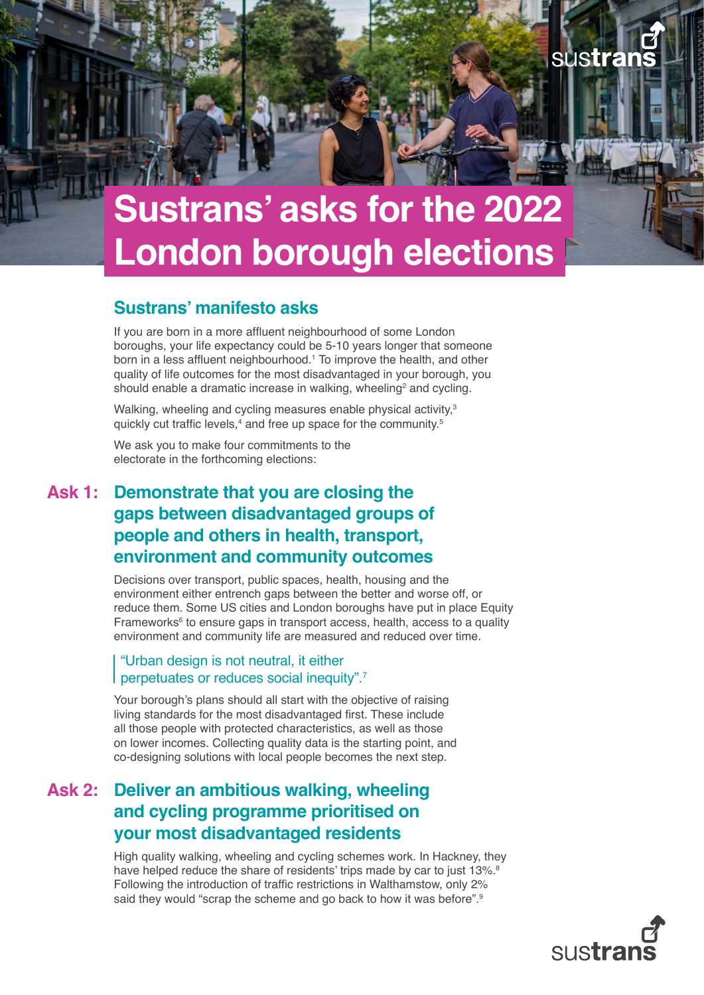# <span id="page-0-0"></span>**Sustrans' asks for the 2022 London borough elections**

### **Sustrans' manifesto asks**

If you are born in a more affluent neighbourhood of some London boroughs, your life expectancy could be 5-10 years longer that someone born in a less affluent neighbourhood.<sup>[1](#page-2-0)</sup> To improve the health, and other quality of life outcomes for the most disadvantaged in your borough, you should enable a dramatic increase in walking, wheeling<sup>[2](#page-2-0)</sup> and cycling.

Walking, wheeling and cycling measures enable physical activity,<sup>[3](#page-2-0)</sup> quickly cut traffic levels, $4$  and free up space for the community.<sup>[5](#page-2-0)</sup>

We ask you to make four commitments to the electorate in the forthcoming elections:

## **Ask 1: Demonstrate that you are closing the gaps between disadvantaged groups of people and others in health, transport, environment and community outcomes**

Decisions over transport, public spaces, health, housing and the environment either entrench gaps between the better and worse off, or reduce them. Some US cities and London boroughs have put in place Equity Frameworks<sup>[6](#page-2-0)</sup> to ensure gaps in transport access, health, access to a quality environment and community life are measured and reduced over time.

#### "Urban design is not neutral, it either perpetuates or reduces social inequity".[7](#page-2-0)

Your borough's plans should all start with the objective of raising living standards for the most disadvantaged first. These include all those people with protected characteristics, as well as those on lower incomes. Collecting quality data is the starting point, and co-designing solutions with local people becomes the next step.

## **Ask 2: Deliver an ambitious walking, wheeling and cycling programme prioritised on your most disadvantaged residents**

High quality walking, wheeling and cycling schemes work. In Hackney, they have helped reduce the share of residents' trips made by car to just 13%.<sup>[8](#page-2-0)</sup> Following the introduction of traffic restrictions in Walthamstow, only 2% said they would "scrap the scheme and go back to how it was before".<sup>[9](#page-2-0)</sup>

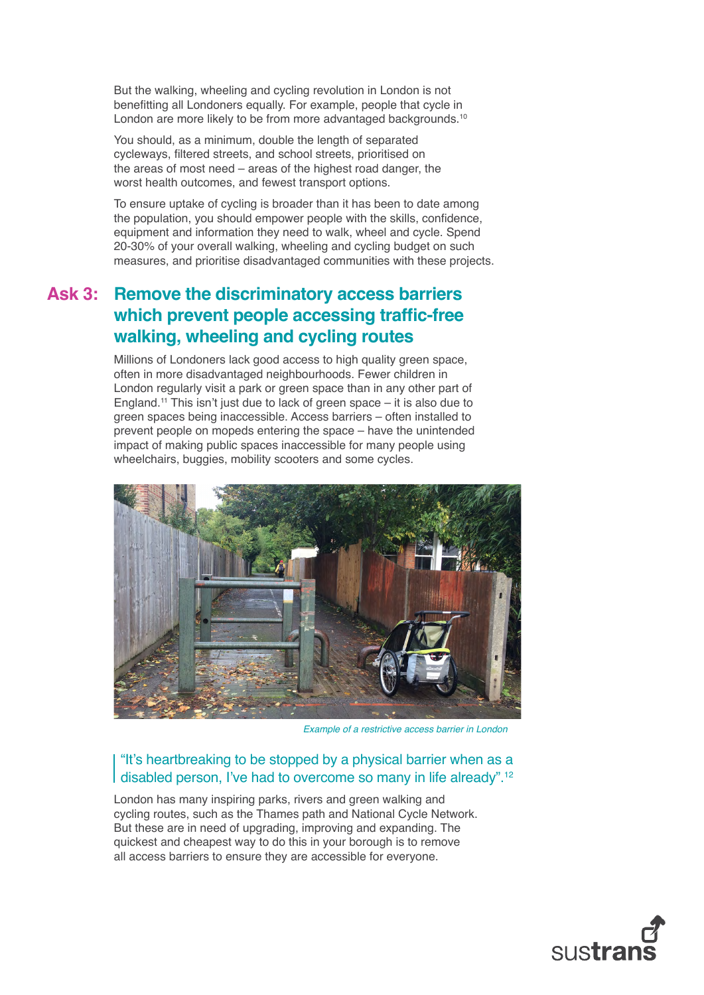<span id="page-1-0"></span>But the walking, wheeling and cycling revolution in London is not benefitting all Londoners equally. For example, people that cycle in London are more likely to be from more advantaged backgrounds.<sup>[10](#page-2-0)</sup>

You should, as a minimum, double the length of separated cycleways, filtered streets, and school streets, prioritised on the areas of most need – areas of the highest road danger, the worst health outcomes, and fewest transport options.

To ensure uptake of cycling is broader than it has been to date among the population, you should empower people with the skills, confidence, equipment and information they need to walk, wheel and cycle. Spend 20-30% of your overall walking, wheeling and cycling budget on such measures, and prioritise disadvantaged communities with these projects.

## **Ask 3: Remove the discriminatory access barriers which prevent people accessing traffic-free walking, wheeling and cycling routes**

Millions of Londoners lack good access to high quality green space, often in more disadvantaged neighbourhoods. Fewer children in London regularly visit a park or green space than in any other part of England.[11](#page-2-0) This isn't just due to lack of green space – it is also due to green spaces being inaccessible. Access barriers – often installed to prevent people on mopeds entering the space – have the unintended impact of making public spaces inaccessible for many people using wheelchairs, buggies, mobility scooters and some cycles.



*Example of a restrictive access barrier in London*

#### "It's heartbreaking to be stopped by a physical barrier when as a disabled person, I've had to overcome so many in life already".[12](#page-2-0)

London has many inspiring parks, rivers and green walking and cycling routes, such as the Thames path and National Cycle Network. But these are in need of upgrading, improving and expanding. The quickest and cheapest way to do this in your borough is to remove all access barriers to ensure they are accessible for everyone.